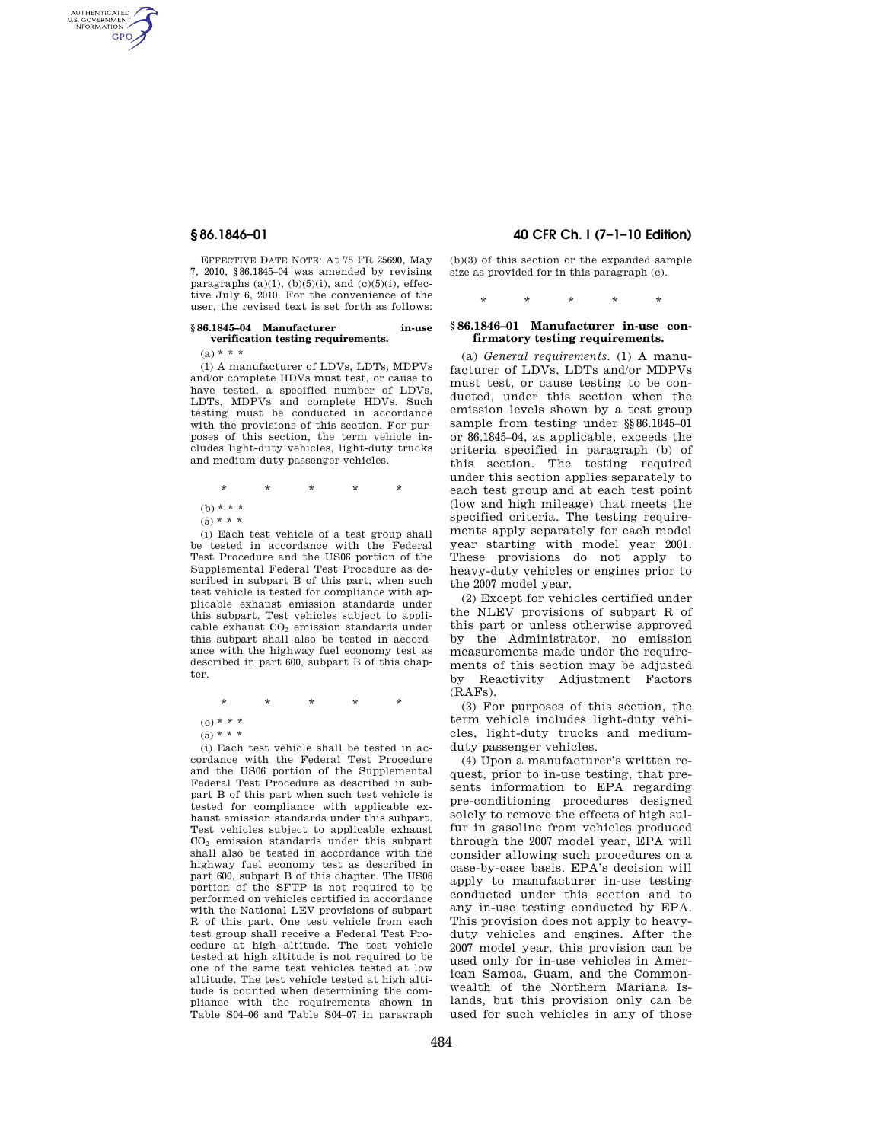AUTHENTICATED<br>U.S. GOVERNMENT<br>INFORMATION **GPO** 

> EFFECTIVE DATE NOTE: At 75 FR 25690, May 7, 2010, §86.1845–04 was amended by revising paragraphs  $(a)(1)$ ,  $(b)(5)(i)$ , and  $(c)(5)(i)$ , effective July 6, 2010. For the convenience of the user, the revised text is set forth as follows:

### **§ 86.1845–04 Manufacturer in-use verification testing requirements.**

 $(a) * * * *$ 

(1) A manufacturer of LDVs, LDTs, MDPVs and/or complete HDVs must test, or cause to have tested, a specified number of LDVs, LDTs, MDPVs and complete HDVs. Such testing must be conducted in accordance with the provisions of this section. For purposes of this section, the term vehicle includes light-duty vehicles, light-duty trucks and medium-duty passenger vehicles.

\* \* \* \* \* (b) \* \* \*  $(5) * * * *$ 

(i) Each test vehicle of a test group shall be tested in accordance with the Federal Test Procedure and the US06 portion of the Supplemental Federal Test Procedure as described in subpart B of this part, when such test vehicle is tested for compliance with applicable exhaust emission standards under this subpart. Test vehicles subject to applicable exhaust CO<sub>2</sub> emission standards under this subpart shall also be tested in accordance with the highway fuel economy test as described in part 600, subpart B of this chapter.

\* \* \* \* \*  $(c) * * *$ 

 $(5) * * * *$ 

(i) Each test vehicle shall be tested in accordance with the Federal Test Procedure and the US06 portion of the Supplemental Federal Test Procedure as described in subpart B of this part when such test vehicle is tested for compliance with applicable exhaust emission standards under this subpart. Test vehicles subject to applicable exhaust CO<sup>2</sup> emission standards under this subpart shall also be tested in accordance with the highway fuel economy test as described in part 600, subpart B of this chapter. The US06 portion of the SFTP is not required to be performed on vehicles certified in accordance with the National LEV provisions of subpart R of this part. One test vehicle from each test group shall receive a Federal Test Procedure at high altitude. The test vehicle tested at high altitude is not required to be one of the same test vehicles tested at low altitude. The test vehicle tested at high altitude is counted when determining the compliance with the requirements shown in Table S04–06 and Table S04–07 in paragraph

# **§ 86.1846–01 40 CFR Ch. I (7–1–10 Edition)**

(b)(3) of this section or the expanded sample size as provided for in this paragraph (c).

\* \* \* \* \*

### **§ 86.1846–01 Manufacturer in-use confirmatory testing requirements.**

(a) *General requirements.* (1) A manufacturer of LDVs, LDTs and/or MDPVs must test, or cause testing to be conducted, under this section when the emission levels shown by a test group sample from testing under §§86.1845–01 or 86.1845–04, as applicable, exceeds the criteria specified in paragraph (b) of this section. The testing required under this section applies separately to each test group and at each test point (low and high mileage) that meets the specified criteria. The testing requirements apply separately for each model year starting with model year 2001. These provisions do not apply to heavy-duty vehicles or engines prior to the 2007 model year.

(2) Except for vehicles certified under the NLEV provisions of subpart R of this part or unless otherwise approved by the Administrator, no emission measurements made under the requirements of this section may be adjusted by Reactivity Adjustment Factors (RAFs).

(3) For purposes of this section, the term vehicle includes light-duty vehicles, light-duty trucks and mediumduty passenger vehicles.

(4) Upon a manufacturer's written request, prior to in-use testing, that presents information to EPA regarding pre-conditioning procedures designed solely to remove the effects of high sulfur in gasoline from vehicles produced through the 2007 model year, EPA will consider allowing such procedures on a case-by-case basis. EPA's decision will apply to manufacturer in-use testing conducted under this section and to any in-use testing conducted by EPA. This provision does not apply to heavyduty vehicles and engines. After the 2007 model year, this provision can be used only for in-use vehicles in American Samoa, Guam, and the Commonwealth of the Northern Mariana Islands, but this provision only can be used for such vehicles in any of those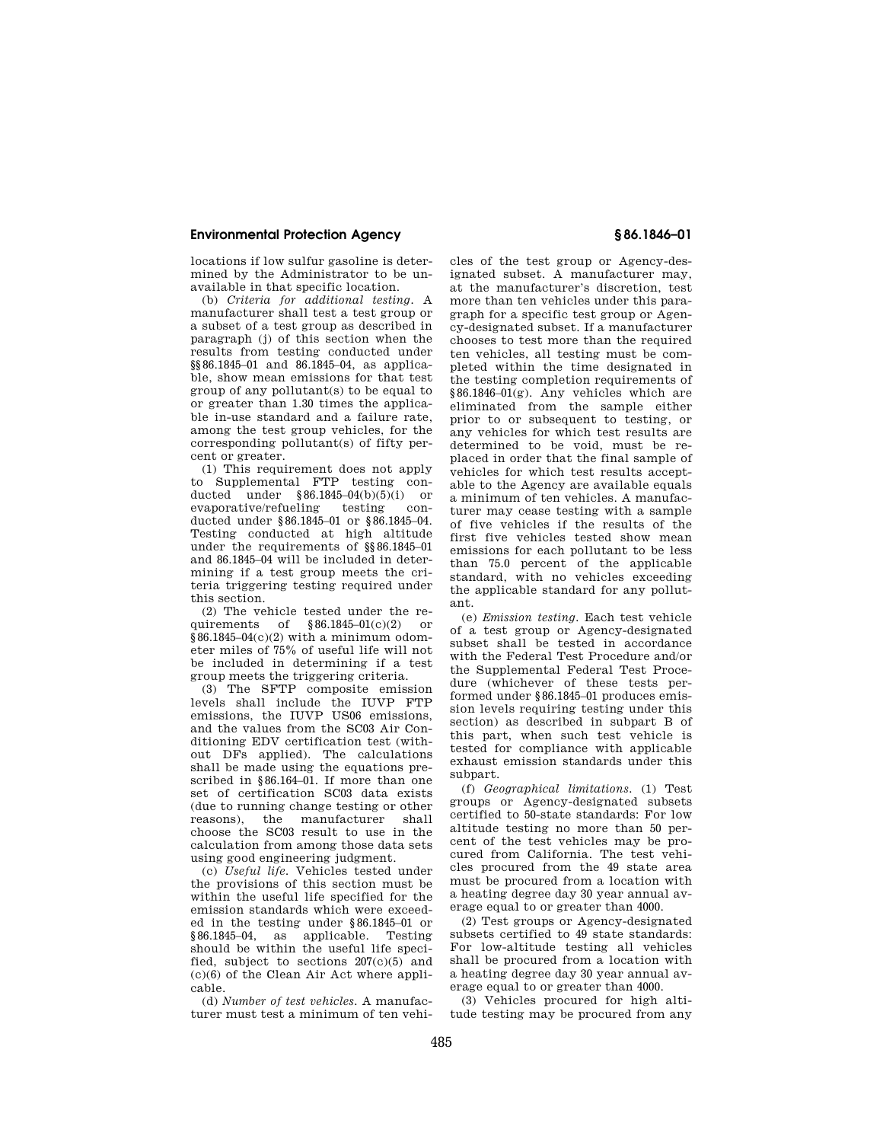# **Environmental Protection Agency § 86.1846–01**

locations if low sulfur gasoline is determined by the Administrator to be unavailable in that specific location.

(b) *Criteria for additional testing.* A manufacturer shall test a test group or a subset of a test group as described in paragraph (j) of this section when the results from testing conducted under §§86.1845–01 and 86.1845–04, as applicable, show mean emissions for that test group of any pollutant(s) to be equal to or greater than 1.30 times the applicable in-use standard and a failure rate, among the test group vehicles, for the corresponding pollutant(s) of fifty percent or greater.

(1) This requirement does not apply to Supplemental FTP testing conducted under §86.1845–04(b)(5)(i) or evaporative/refueling testing conducted under §86.1845–01 or §86.1845–04. Testing conducted at high altitude under the requirements of §§86.1845–01 and 86.1845–04 will be included in determining if a test group meets the criteria triggering testing required under this section.

(2) The vehicle tested under the re-<br>intervents of  $886\frac{1845-01(c)(2)}{c}$  or quirements of  $§86.1845-01(c)(2)$ §86.1845–04(c)(2) with a minimum odometer miles of 75% of useful life will not be included in determining if a test group meets the triggering criteria.

(3) The SFTP composite emission levels shall include the IUVP FTP emissions, the IUVP US06 emissions, and the values from the SC03 Air Conditioning EDV certification test (without DFs applied). The calculations shall be made using the equations prescribed in §86.164–01. If more than one set of certification SC03 data exists (due to running change testing or other reasons), the manufacturer shall choose the SC03 result to use in the calculation from among those data sets using good engineering judgment.

(c) *Useful life.* Vehicles tested under the provisions of this section must be within the useful life specified for the emission standards which were exceeded in the testing under §86.1845–01 or §86.1845–04, as applicable. Testing should be within the useful life specified, subject to sections  $207(c)(5)$  and (c)(6) of the Clean Air Act where applicable.

(d) *Number of test vehicles.* A manufacturer must test a minimum of ten vehicles of the test group or Agency-designated subset. A manufacturer may, at the manufacturer's discretion, test more than ten vehicles under this paragraph for a specific test group or Agency-designated subset. If a manufacturer chooses to test more than the required ten vehicles, all testing must be completed within the time designated in the testing completion requirements of §86.1846–01(g). Any vehicles which are eliminated from the sample either prior to or subsequent to testing, or any vehicles for which test results are determined to be void, must be replaced in order that the final sample of vehicles for which test results acceptable to the Agency are available equals a minimum of ten vehicles. A manufacturer may cease testing with a sample of five vehicles if the results of the first five vehicles tested show mean emissions for each pollutant to be less than 75.0 percent of the applicable standard, with no vehicles exceeding the applicable standard for any pollutant.

(e) *Emission testing.* Each test vehicle of a test group or Agency-designated subset shall be tested in accordance with the Federal Test Procedure and/or the Supplemental Federal Test Procedure (whichever of these tests performed under §86.1845–01 produces emission levels requiring testing under this section) as described in subpart B of this part, when such test vehicle is tested for compliance with applicable exhaust emission standards under this subpart.

(f) *Geographical limitations.* (1) Test groups or Agency-designated subsets certified to 50-state standards: For low altitude testing no more than 50 percent of the test vehicles may be procured from California. The test vehicles procured from the 49 state area must be procured from a location with a heating degree day 30 year annual average equal to or greater than 4000.

(2) Test groups or Agency-designated subsets certified to 49 state standards: For low-altitude testing all vehicles shall be procured from a location with a heating degree day 30 year annual average equal to or greater than 4000.

(3) Vehicles procured for high altitude testing may be procured from any